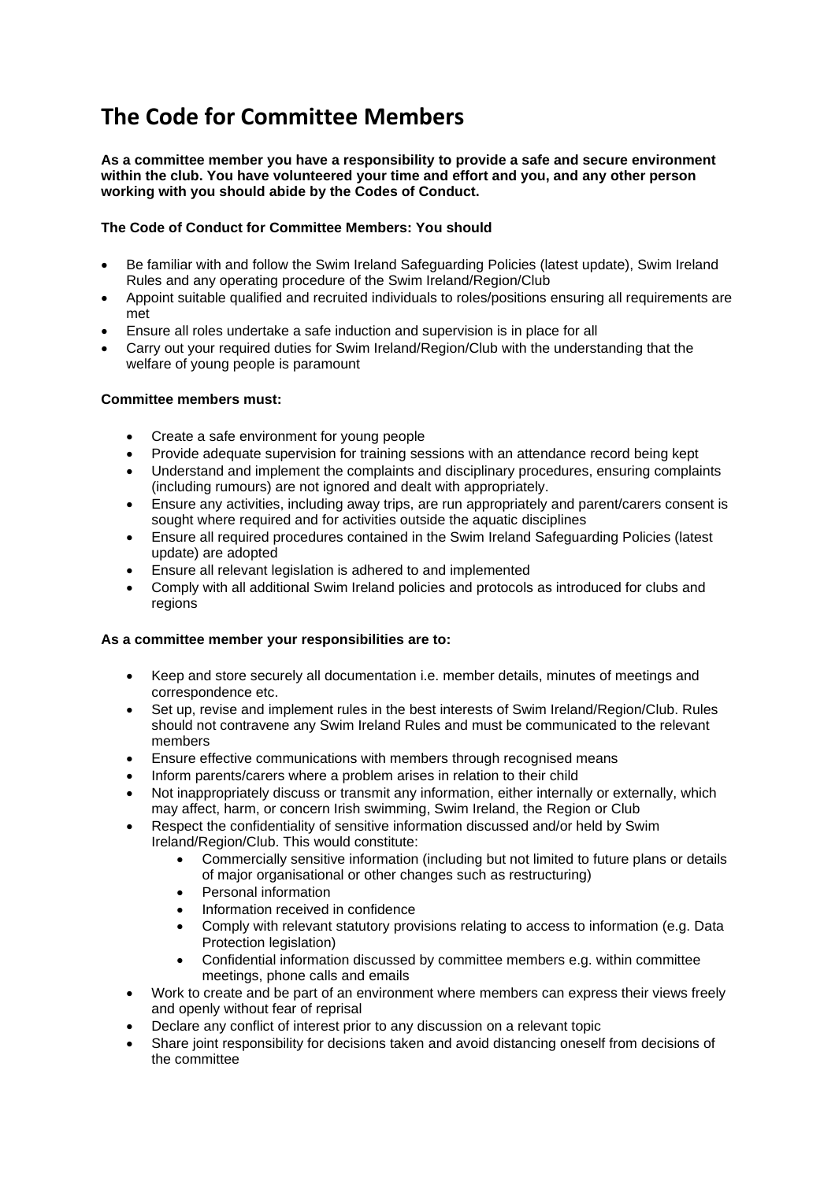# **The Code for Committee Members**

#### **As a committee member you have a responsibility to provide a safe and secure environment within the club. You have volunteered your time and effort and you, and any other person working with you should abide by the Codes of Conduct.**

## **The Code of Conduct for Committee Members: You should**

- Be familiar with and follow the Swim Ireland Safeguarding Policies (latest update), Swim Ireland Rules and any operating procedure of the Swim Ireland/Region/Club
- Appoint suitable qualified and recruited individuals to roles/positions ensuring all requirements are met
- Ensure all roles undertake a safe induction and supervision is in place for all
- Carry out your required duties for Swim Ireland/Region/Club with the understanding that the welfare of young people is paramount

### **Committee members must:**

- Create a safe environment for young people
- Provide adequate supervision for training sessions with an attendance record being kept
- Understand and implement the complaints and disciplinary procedures, ensuring complaints (including rumours) are not ignored and dealt with appropriately.
- Ensure any activities, including away trips, are run appropriately and parent/carers consent is sought where required and for activities outside the aquatic disciplines
- Ensure all required procedures contained in the Swim Ireland Safeguarding Policies (latest update) are adopted
- Ensure all relevant legislation is adhered to and implemented
- Comply with all additional Swim Ireland policies and protocols as introduced for clubs and regions

### **As a committee member your responsibilities are to:**

- Keep and store securely all documentation i.e. member details, minutes of meetings and correspondence etc.
- Set up, revise and implement rules in the best interests of Swim Ireland/Region/Club. Rules should not contravene any Swim Ireland Rules and must be communicated to the relevant members
- Ensure effective communications with members through recognised means
- Inform parents/carers where a problem arises in relation to their child
- Not inappropriately discuss or transmit any information, either internally or externally, which may affect, harm, or concern Irish swimming, Swim Ireland, the Region or Club
- Respect the confidentiality of sensitive information discussed and/or held by Swim Ireland/Region/Club. This would constitute:
	- Commercially sensitive information (including but not limited to future plans or details of major organisational or other changes such as restructuring)
	- Personal information
	- Information received in confidence
	- Comply with relevant statutory provisions relating to access to information (e.g. Data Protection legislation)
	- Confidential information discussed by committee members e.g. within committee meetings, phone calls and emails
- Work to create and be part of an environment where members can express their views freely and openly without fear of reprisal
- Declare any conflict of interest prior to any discussion on a relevant topic
- Share joint responsibility for decisions taken and avoid distancing oneself from decisions of the committee